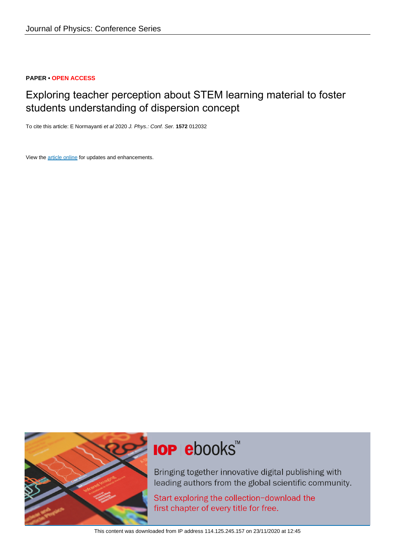#### **PAPER • OPEN ACCESS**

### Exploring teacher perception about STEM learning material to foster students understanding of dispersion concept

To cite this article: E Normayanti et al 2020 J. Phys.: Conf. Ser. **1572** 012032

View the [article online](https://doi.org/10.1088/1742-6596/1572/1/012032) for updates and enhancements.



## **IOP ebooks™**

Bringing together innovative digital publishing with leading authors from the global scientific community.

Start exploring the collection-download the first chapter of every title for free.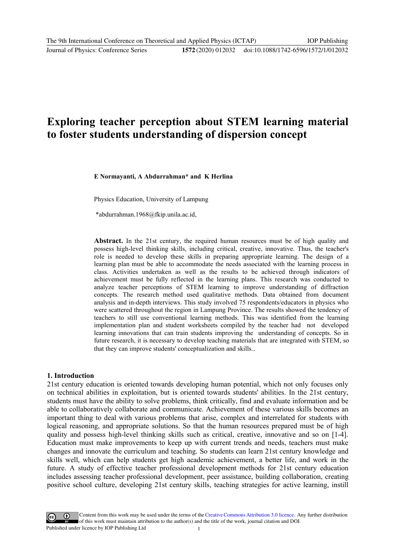# **Exploring teacher perception about STEM learning material<br>
Exploring teacher perception about STEM learning material<br>
to foster students understanding of dispersion concept<br>
Exploring teacher perception about STEM learnin** The 9th International Conference on Theoretical and Applied Physics (ICTAP)<br>Journal of Physics: Conference Series<br>**1572** (2020) 012032 doi:10.1088/1742-6596/1572/1/012032<br>**Exploring teacher perception about STEM learning m Example 1 Algent STEM (Earning no tudents understanding of dispersion concept<br>
E Normayanti, A Abdurrahman\* and K Herlina<br>
Physics Education, University of Lampung** Physics Education, University of **Campus 1986**<br>The Normayanti, A Abdurrahman\* and K Herlina<br>Physics Education, University of Lampung<br><sup>Physics Education, University of Lampung<br>\*abdurrahman.1968@fkip.unila.ac.id,</sup>

\*abdurrahman.1968@fkip.unila.ac.id,

**E Normayanti, A Abdurrahman\* and K Herlina**<br> **Physics Education, University of Lampung**<br> **\*abdurrahman.1968@fkip.unila.ac.id,**<br> **Abstract.** In the 21st century, the required human resources must be of high quality and<br>
po **ENormayanti, A Abdurrahman\* and K Herlina**<br> **Physics Education, University of Lampung**<br> **\*abdurrahman.1968@fkip.unila.ac.id,**<br> **Abstract.** In the 21st century, the required human resources must be of high quality and<br>
po **E Normayanti, A Abdurrahman\* and K Herlina**<br> **Physics Education, University of Lampung**<br> **\*abdurrahman.** 1968@fkip.unila.ac.id,<br> **Abstract.** In the 21st century, the required human resources must be of high quality and<br>
p **E Normayanti, A Abdurrahman\* and K Herlina**<br>
Physics Education, University of Lampung<br>
\*abdurrahman. 1968@fkip.unila.ac.id,<br> **Abstract.** In the 21st century, the required human resources must be of high quality and<br>
posse E Normayanti, A Abdurrahman\* and K Herlina<br>
Physics Education, University of Lampung<br>
\*abdurrahman.1968@fkip.unila.ac.id,<br>
Abstract. In the 21st century, the required human resources must be of high quality and<br>
possess hi Physics Education, University of Lampung<br>
\*abdurrahman.1968@fkip.unila.ac.id,<br> **Abstract.** In the 21st century, the required human resources must be of high quality and<br>
possess high-level thinking skills, including critic Physics Education, University of Lampung<br>
\*abdurrahman.1968@fkip.unila.ac.id,<br> **Abstract.** In the 21st century, the required human resources must be of high quality and<br>
possess high-level thinking skills, including critic Physics Education, University of Lampung<br>
\*abdurrahman. 1968@fkip.unila.ac.id,<br> **Abstract.** In the 21st century, the required human resources must be of high quality and<br>
possesss high-level thinking skills, including crit \*abdurrahman.1968@fkip.unila.ac.id,<br>
Abstract. In the 21st century, the required human resources must be of high quality and<br>
possess high-level thinking skills, including critical, creative, innovative. Thus, the teacher' \*abdurrahman.1968@fkip.unila.ac.id,<br> **Abstract**. In the 21st century, the required human resources must be of high quality and<br>
possess high-level thinking skills, including critical, creative, innovative. Thus, the teache **Abstract.** In the 21st century, the required human resources must be of high quality and possess high-level thinking skills, including critical, creative, innovative. Thus, the teacher's role is needed to develop these sk Abstract. In the 21st century, the required human resources must be of high quality and possess high-level thinking skills, including critical, creative, innovative. Thus, the teacher's roote is needed to develop these ski **Abstract.** In the 21st century, the required human resources must be of high quality and possess high-level thinking skills, including critical, creative, innovative. Thus, the teacher's role is needed to develop these sk **ADSITERT:** In the 21st century, ine required nurant resources must to to ingit quanty and<br>possess high-level thinking skills, including critical, creative, innovative. Thus, the teacher's<br>role is needed to develop these s that the mean in the weather with the ends the commode to collaboratively collaboratively. Into the commodate the medialis of the meaning appropriate larming. The design of learning plan must be able to accommodate the nee 22 teaching to improve the matter who we can be the control of the control of the conducted to analyze teacher perceptions of STEM learning to improve understanding of diffraction oncepts. The research method used qualitat analyze teacher perceptions of STEM learning to improve understanding of diffraction<br>concepts. The research method used qualitative methods. Data obtained from document<br>analysis and in-depth interviews. This study involved

students must have detected to the solution in the solution of  $7$  responding definies an in-depth interviews. This smally involved  $75$  responding/eddicators in physics who were scattered throughout the region in Lampung analysis and in-depth interviews. This study involved 75 respondents/educators in physics who<br>were scattered throughout the region in Lampung Province. The results showed the tendency of<br>technets to still use conventional were scattered throughout the region in Lampung Province. The results showed the tendency of<br>tendencher to still use conventional learning methods. This was identified from the learning<br>implementation plan and student vork reachers to still use conventional learning methods. This was identified from the learning innovations that can train students improving the understanding of concepts. So in future research, it is necessary to develop teac melementatom plan and student workshees compiled by the teacher had not developed<br>learning innovations that can train students improving the understanding of concepts. So in<br>future research, it is necessary to develop teac Entrange mnovations that can train students improving the understanding of concepts. So in<br>thure research, it is necessary to develop teaching materials that are integrated with STEM, so<br>that they can improve students' co future research, it is necessary to develop teaching materials that are imegrated with stent, so<br>that they can improve students' conceptualization and skills..<br>
1. **Introduction**<br>
21st century education is oriented towards I. Introduction<br>21st century education is oriented towards developing human potential, which not only focuses only<br>21st century education is oriented towards developing human potential, which not only focuses only<br>50 on te **1. Introduction**<br>21st century education is oriented towards developing human potential, which not only focuses only<br>21st century ducation is encylotation, but is oriented towards students' abilities. In the 21st century, **1. Introduction**<br>21st century educition is oriented towards developing human potential, which not only focuses only<br>on technical abilities in exploitation, but is oriented towards students' abilities. In the 21st century, **1. Introduction**<br>2.1st century education is oriented towards developing human potential, which not only focuses only<br>on technical abilities in exploitation, but is oriented towards students' abilities. In the 21st centur

Content from this work may be used under the terms of the Creative Commons Attribution 3.0 licence. Any further distribution of this work must maintain attribution to the author(s) and the title of the work, journal citation and DOI. Published under licence by IOP Publishing Ltd 1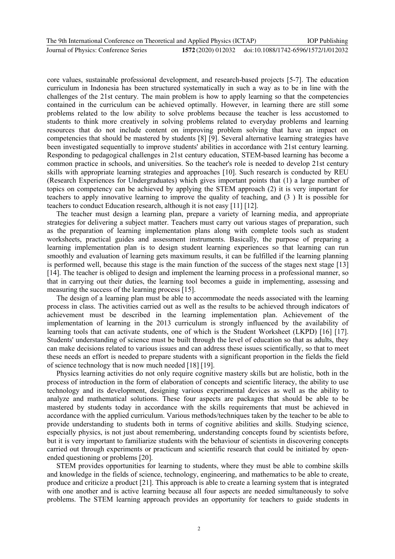core values, sustainable professional development, and research-based projects [5-7]. The education curriculum in Indonesia has been structured systematically in such a way as to be in line with the challenges of the 21st century. The main problem is how to apply learning so that the competencies contained in the curriculum can be achieved optimally. However, in learning there are still some problems related to the low ability to solve problems because the teacher is less accustomed to students to think more creatively in solving problems related to everyday problems and learning resources that do not include content on improving problem solving that have an impact on competencies that should be mastered by students [8] [9]. Several alternative learning strategies have been investigated sequentially to improve students' abilities in accordance with 21st century learning. Responding to pedagogical challenges in 21st century education, STEM-based learning has become a common practice in schools, and universities. So the teacher's role is needed to develop 21st century skills with appropriate learning strategies and approaches [10]. Such research is conducted by REU (Research Experiences for Undergraduates) which gives important points that (1) a large number of topics on competency can be achieved by applying the STEM approach  $(2)$  it is very important for teachers to apply innovative learning to improve the quality of teaching, and (3 ) It is possible for teachers to conduct Education research, although it is not easy [11] [12].

The teacher must design a learning plan, prepare a variety of learning media, and appropriate strategies for delivering a subject matter. Teachers must carry out various stages of preparation, such as the preparation of learning implementation plans along with complete tools such as student worksheets, practical guides and assessment instruments. Basically, the purpose of preparing a learning implementation plan is to design student learning experiences so that learning can run smoothly and evaluation of learning gets maximum results, it can be fulfilled if the learning planning is performed well, because this stage is the main function of the success of the stages next stage [13] [14]. The teacher is obliged to design and implement the learning process in a professional manner, so that in carrying out their duties, the learning tool becomes a guide in implementing, assessing and measuring the success of the learning process [15].

The design of a learning plan must be able to accommodate the needs associated with the learning process in class. The activities carried out as well as the results to be achieved through indicators of achievement must be described in the learning implementation plan. Achievement of the implementation of learning in the 2013 curriculum is strongly influenced by the availability of learning tools that can activate students, one of which is the Student Worksheet (LKPD) [16] [17]. Students' understanding of science must be built through the level of education so that as adults, they can make decisions related to various issues and can address these issues scientifically, so that to meet these needs an effort is needed to prepare students with a significant proportion in the fields the field of science technology that is now much needed [18] [19].

Physics learning activities do not only require cognitive mastery skills but are holistic, both in the process of introduction in the form of elaboration of concepts and scientific literacy, the ability to use technology and its development, designing various experimental devices as well as the ability to analyze and mathematical solutions. These four aspects are packages that should be able to be mastered by students today in accordance with the skills requirements that must be achieved in accordance with the applied curriculum. Various methods/techniques taken by the teacher to be able to provide understanding to students both in terms of cognitive abilities and skills. Studying science, especially physics, is not just about remembering, understanding concepts found by scientists before, but it is very important to familiarize students with the behaviour of scientists in discovering concepts carried out through experiments or practicum and scientific research that could be initiated by open ended questioning or problems [20].

STEM provides opportunities for learning to students, where they must be able to combine skills and knowledge in the fields of science, technology, engineering, and mathematics to be able to create, produce and criticize a product [21]. This approach is able to create a learning system that is integrated with one another and is active learning because all four aspects are needed simultaneously to solve problems. The STEM learning approach provides an opportunity for teachers to guide students in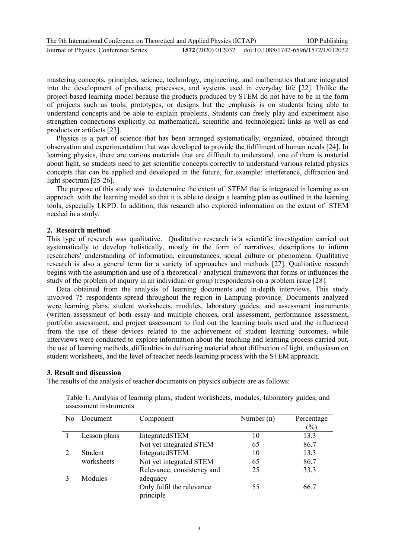mastering concepts, principles, science, technology, engineering, and mathematics that are integrated into the development of products, processes, and systems used in everyday life [22]. Unlike the project-based learning model because the products produced by STEM do not have to be in the form of projects such as tools, prototypes, or designs but the emphasis is on students being able to understand concepts and be able to explain problems. Students can freely play and experiment also strengthen connections explicitly on mathematical, scientific and technological links as wellas end products or artifacts [23].

Physics is a part of science that has been arranged systematically, organized, obtained through observation and experimentation that was developed to provide the fulfilment of human needs [24].In learning physics, there are various materials that are difficult to understand, one of them is material about light, so students need to get scientific concepts correctly to understand various related physics concepts that can be applied and developed in the future, for example: interference, diffraction and light spectrum [25-26].

The purpose of this study was to determine the extent of STEM that is integrated in learning as an approach with the learning model so that it is able to design a learning plan as outlined in the learning tools, especially LKPD. In addition, this research also explored information on the extent of STEM needed in a study.

#### **2. Research method**

This type of research was qualitative. Qualitative research is a scientific investigation carried out systematically to develop holistically, mostly in the form of narratives, descriptions to inform researchers' understanding of information, circumstances, social culture or phenomena. Qualitative research is also a general term for a variety of approaches and methods [27]. Qualitative research begins with the assumption and use of a theoretical / analytical framework that forms or influences the study of the problem of inquiry in an individual or group (respondents) on a problem issue [28].

Data obtained from the analysis of learning documents and in-depth interviews. This study involved 75 respondents spread throughout the region in Lampung province. Documents analyzed were learning plans, student worksheets, modules, laboratory guides, and assessment instruments (written assessment of both essay and multiple choices, oral assessment, performance assessment, portfolio assessment, and project assessment to find out the learning tools used and the influences) from the use of these devices related to the achievement of student learning outcomes, while interviews were conducted to explore information about the teaching and learning process carried out, the use of learning methods, difficulties in delivering material about diffraction of light, enthusiasm on student worksheets, and the level of teacher needs learning process with the STEM approach.

#### **3. Result and discussion**

The results of the analysis of teacher documents on physics subjects are as follows:

| No | Document     | Component                              | Number $(n)$ | Percentage<br>$\frac{(0)}{0}$ |
|----|--------------|----------------------------------------|--------------|-------------------------------|
|    | Lesson plans | IntegratedSTEM                         | 10           | 13.3                          |
|    |              | Not yet integrated STEM                | 65           | 86.7                          |
|    | Student      | IntegratedSTEM                         | 10           | 13.3                          |
|    | worksheets   | Not yet integrated STEM                | 65           | 86.7                          |
|    |              | Relevance, consistency and             | 25           | 33.3                          |
|    | Modules      | adequacy                               |              |                               |
|    |              | Only fulfil the relevance<br>principle | 55           | 66.7                          |

Table 1. Analysis of learning plans, student worksheets, modules, laboratory guides, and assessment instruments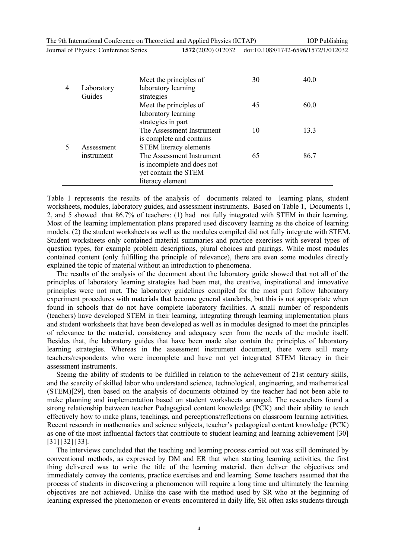| The 9th International Conference on Theoretical and Applied Physics (ICTAP) |                                                        | <b>IOP</b> Publishing |
|-----------------------------------------------------------------------------|--------------------------------------------------------|-----------------------|
| Journal of Physics: Conference Series                                       | 1572 (2020) 012032 doi:10.1088/1742-6596/1572/1/012032 |                       |

| $\overline{4}$ | Laboratory<br>Guides | Meet the principles of<br>laboratory learning<br>strategies                                         | 30 | 40.0 |
|----------------|----------------------|-----------------------------------------------------------------------------------------------------|----|------|
|                |                      | Meet the principles of<br>laboratory learning<br>strategies in part                                 | 45 | 60.0 |
|                | Assessment           | The Assessment Instrument<br>is complete and contains<br><b>STEM</b> literacy elements              | 10 | 13.3 |
|                | instrument           | The Assessment Instrument<br>is incomplete and does not<br>yet contain the STEM<br>literacy element | 65 | 86.7 |

Table 1 represents the results of the analysis of documents related to learning plans, student worksheets, modules, laboratory guides, and assessment instruments. Based on Table 1, Documents 1, 2, and 5 showed that 86.7% of teachers: (1) had not fully integrated with STEM in their learning. Most of the learning implementation plans prepared used discovery learning as the choice of learning models. (2) the studentworksheets as well as the modules compiled did not fully integrate with STEM. Student worksheets only contained material summaries and practice exercises with several types of question types, for example problem descriptions, plural choices and pairings. While most modules contained content (only fulfilling the principle of relevance), there are even some modules directly explained the topic of material without an introduction to phenomena.

The results of the analysis of the document about the laboratory guide showed that not all of the principles of laboratory learning strategies had been met, the creative, inspirational and innovative principles were not met. The laboratory guidelines compiled for the most part follow laboratory experiment procedures with materials that become general standards, but this is not appropriate when found in schools that do not have complete laboratory facilities. A small number of respondents (teachers) have developed STEM in their learning, integrating through learning implementation plans and student worksheets that have been developed as well as in modules designed to meet the principles of relevance to the material, consistency and adequacy seen from the needs of the module itself. Besides that, the laboratory guides that have been made also contain the principles of laboratory learning strategies. Whereas in the assessment instrument document, there were still many teachers/respondents who were incomplete and have not yet integrated STEM literacy in their assessment instruments.

Seeing the ability of students to be fulfilled in relation to the achievement of 21st century skills, and the scarcity of skilled labor who understand science, technological, engineering, and mathematical (STEM)[29], then based on the analysis of documents obtained by the teacher had not been able to make planning and implementation based on student worksheets arranged. The researchers found a strong relationship between teacher Pedagogical content knowledge (PCK) and their ability to teach effectively how to make plans, teachings, and perceptions/reflections on classroom learning activities. Recent research in mathematics and science subjects, teacher's pedagogical content knowledge (PCK) as one of the most influential factors that contribute to student learning and learning achievement [30] [31] [32] [33].

The interviews concluded that the teaching and learning process carried out was still dominated by conventional methods, as expressed by DM and ER that when starting learning activities, the first thing delivered was to write the title of the learning material, then deliver the objectives and immediately convey the contents, practice exercises and end learning. Some teachers assumed that the process of students in discovering a phenomenon will require a long time and ultimately the learning objectives are not achieved. Unlike the case with the method used by SR who at the beginning of learning expressed the phenomenon or events encountered in daily life, SR often asks students through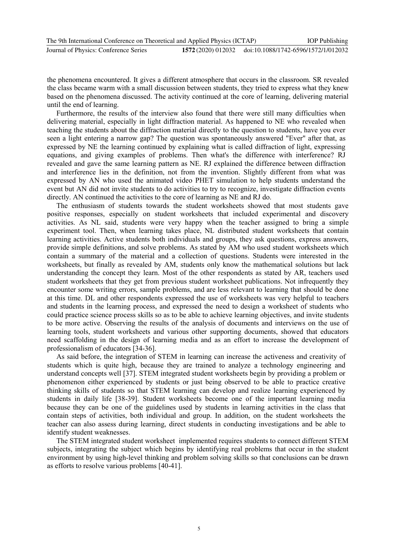the phenomena encountered. It gives a different atmosphere that occurs in the classroom. SR revealed the class became warm with a small discussion between students, they tried to express what they knew based on the phenomena discussed. The activity continued at the core of learning, delivering material until the end of learning.

Furthermore, the results of the interview also found that there were still many difficulties when delivering material, especially in light diffraction material. As happened to NE who revealed when teaching the students about the diffraction material directly to the question to students, have you ever seen a light entering a narrow gap? The question was spontaneously answered "Ever" after that, as expressed by NE the learning continued by explaining what is called diffraction of light, expressing equations, and giving examples of problems. Then what's the difference with interference? RJ revealed and gave the same learning pattern as NE. RJ explained the difference between diffraction and interference lies in the definition, not from the invention. Slightly different from what was expressed by AN who used the animated video PHET simulation to help students understand the event but AN did not invite students to do activities to try to recognize, investigate diffraction events directly. AN continued the activities to the core of learning as NE and RJ do.

The enthusiasm of students towards the student worksheets showed that most students gave positive responses, especially on student worksheets that included experimental and discovery activities. As NL said, students were very happy when the teacher assigned to bring a simple experiment tool. Then, when learning takes place, NL distributed student worksheets that contain learning activities. Active students both individuals and groups, they ask questions, express answers, provide simple definitions, and solve problems. As stated by AM who used student worksheets which contain a summary of the material and a collection of questions. Students were interested in the worksheets, but finally as revealed by AM, students only know the mathematical solutions but lack understanding the concept they learn. Most of the other respondents as stated by AR, teachers used student worksheets that they get from previous student worksheet publications. Not infrequently they encounter some writing errors, sample problems, and are less relevant to learning that should be done at this time. DL and other respondents expressed the use of worksheets was very helpful to teachers and students in the learning process, and expressed the need to design a worksheet of students who could practice science process skills so as to be able to achieve learning objectives, and invite students to be more active. Observing the results of the analysis of documents and interviews on the use of learning tools, student worksheets and various other supporting documents, showed that educators need scaffolding in the design of learning media and as an effort to increase the development of professionalism of educators [34-36].

As said before, the integration of STEM in learning can increase the activeness and creativity of students which is quite high, because they are trained to analyze a technology engineering and understand concepts well [37]. STEM integrated student worksheets begin by providing a problem or phenomenon either experienced by students or just being observed to be able to practice creative thinking skills of students so that STEM learning can develop and realize learning experienced by students in daily life [38-39]. Student worksheets become one of the important learning media because they can be one of the guidelines used by students in learning activities in the class that contain steps of activities, both individual and group. In addition, on the student worksheets the teacher can also assess during learning, direct students in conducting investigations and be able to identify student weaknesses.

The STEM integrated student worksheet implemented requires students to connect different STEM subjects, integrating the subject which begins by identifying real problems that occur in the student environment by using high-level thinking and problem solving skills so that conclusions can be drawn as efforts to resolve various problems [40-41].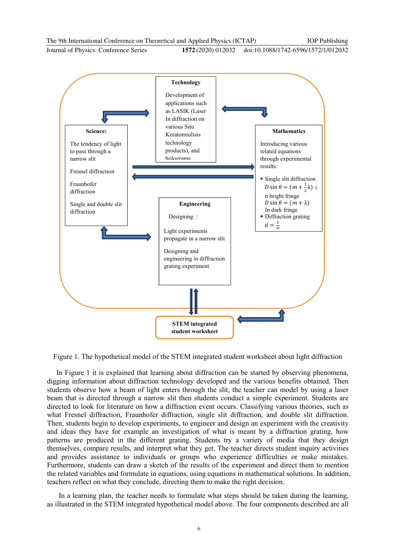IOP Publishing

Journal of Physics: Conference Series **1572** (2020) 012032

doi:10.1088/1742-6596/1572/1/012032



Figure 1. The hypothetical model of the STEM integrated student worksheet about light diffraction

In Figure 1 it is explained that learning about diffraction can be started by observing phenomena, digging information about diffraction technology developed and the various benefits obtained. Then students observe how a beam of light enters through the slit, the teacher can model by using a laser beam that is directed through a narrow slit then students conduct a simple experiment. Students are directed to look for literature on how a diffraction event occurs. Classifying various theories, such as what Fresnel diffraction, Fraunhofer diffraction, single slit diffraction, and double slit diffraction. Then, students begin to develop experiments, to engineer and design an experiment with the creativity and ideas they have for example an investigation of what is meant by a diffraction grating, how patterns are produced in the different grating. Students try a variety of media that they design themselves, compare results, and interpret what they get. The teacher directs student inquiry activities and provides assistance to individuals or groups who experience difficulties or make mistakes. Furthermore, students can draw a sketch of the results of the experiment and direct them to mention the related variables and formulate in equations, using equations in mathematical solutions. In addition, teachers reflect on what they conclude, directing them to make the right decision.

In a learning plan, the teacher needs to formulate what steps should be taken during the learning, as illustrated in the STEM integrated hypothetical model above. The four components described are all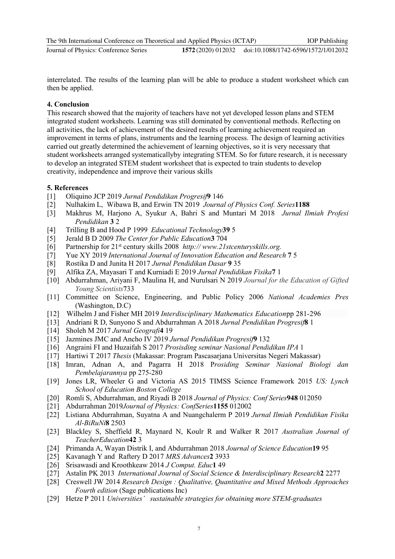interrelated. The results of the learning plan will be able to produce a student worksheet which can then be applied.

#### **4. Conclusion**

This research showed that the majority of teachers have not yet developed lesson plans and STEM integrated student worksheets. Learning was still dominated by conventional methods. Reflecting on all activities, the lack of achievement of the desired results of learning achievement required an improvement in terms of plans, instruments and the learning process. The design of learning activities carried out greatly determined the achievement of learning objectives, so it is very necessary that student worksheets arranged systematicallyby integrating STEM. So for future research, it is necessary to develop an integrated STEM student worksheet that is expected to train students to develop creativity, independence and improve their various skills

#### **5. References**

- [1] Oliquino JCP 2019 *Jurnal Pendidikan Progresif***9** 146
- [2] Nulhakim L, Wibawa B, and Erwin TN 2019 *Journal of Physics Conf. Series***1188**
- [3] Makhrus M, Harjono A, Syukur A, Bahri S and Muntari M 2018 *Jurnal Ilmiah Profesi Pendidikan* **3** 2
- [4] Trilling B and Hood P 1999 *Educational Technology***39** 5
- [5] Jerald B D 2009 *The Center for Public Education***3** 704
- [6] Partnership for 21 st century skills 2008 *http:// www.21stcenturyskills.org.*
- [7] Yue XY 2019 *International Journal of Innovation Education and Research* **7** 5
- [8] Rostika D and Junita H 2017 *Jurnal Pendidikan Dasar* **9** 35
- [9] Alfika ZA, Mayasari T and Kurniadi E 2019 *Jurnal Pendidikan Fisika***7** 1
- [10] Abdurrahman, Ariyani F, Maulina H, and Nurulsari N 2019 *Journal for the [Education](https://www.scopus.com/sourceid/21100869510?origin=resultslist) of Gifted Young Scientists***7**33
- [11] Committee on Science, Engineering, and Public Policy 2006 *National Academies Pres* (Washington, D.C)
- [12] Wilhelm J and Fisher MH 2019 *[Interdisciplinary](https://link.springer.com/book/10.1007/978-3-030-11066-6) Mathematics Education*pp 281-296
- [13] Andriani R D, Sunyono S and Abdurrahman A 2018 *Jurnal Pendidikan Progresif***8** 1
- [14] Sholeh M 2017 *Jurnal Geografi***4** 19
- [15] Jazmines JMC and Ancho IV 2019 *Jurnal Pendidikan Progresif***9** 132
- [16] Angraini FI and Huzaifah S 2017 *Prosisding seminar Nasional Pendidikan IPA* 1
- [17] Hartiwi T 2017 *Thesis* (Makassar: Program Pascasarjana Universitas Negeri Makassar)
- [18] Imran, Adnan A, and Pagarra H 2018 P*rosiding Seminar Nasional Biologi dan Pembelajarannya* pp 275-280
- [19] Jones LR, Wheeler G and Victoria AS 2015 TIMSS Science Framework 2015 *US: Lynch School of Education Boston College*
- [20] Romli S, Abdurrahman, and Riyadi B 2018 *Journal of Physics: Conf Series***948** 012050
- [21] Abdurrahman 2019*Journal of Physics: ConfSeries***1155** 012002
- [22] Listiana Abdurrahman, Suyatna A and Nuangchalerm P 2019 *Jurnal Ilmiah Pendidikan Fisika Al-BiRuNi***8** 2503
- [23] Blackley S, Sheffield R, Maynard N, Koulr R and Walker R 2017 *Australian Journal of TeacherEducation***42** 3
- [24] Primanda A, Wayan Distrik I, and Abdurrahman 2018 *Journal of Science Education***19** 95
- [25] Kavanagh Y and Raftery D 2017 *MRS Advances***2** 3933
- [26] Srisawasdi and Kroothkeaw 2014 *J Comput.Educ***1** 49
- [27] Astalin PK 2013 *International Journal of Social Science & Interdisciplinary Research***2** 2277
- [28] Creswell JW 2014 *Research Design : Qualitative, Quantitative and Mixed Methods Approaches Fourth edition* (Sage publications Inc)
- [29] Hetze P 2011 *Universities' sustainable strategies for obtaining more STEM-graduates*